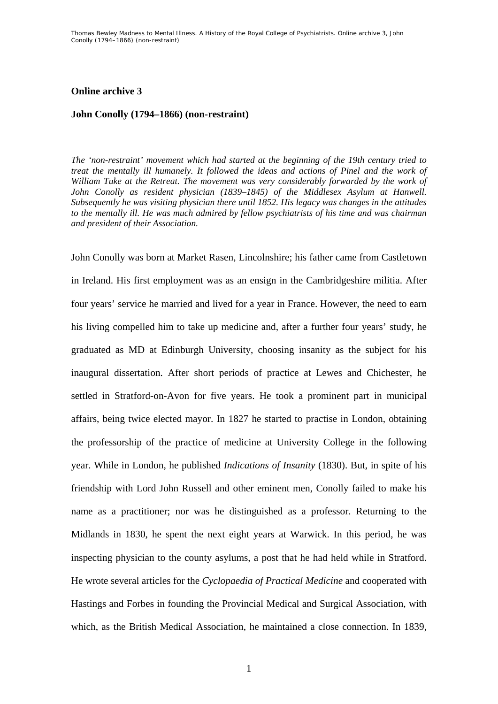## **Online archive 3**

## **John Conolly (1794–1866) (non-restraint)**

*The 'non-restraint' movement which had started at the beginning of the 19th century tried to treat the mentally ill humanely. It followed the ideas and actions of Pinel and the work of William Tuke at the Retreat. The movement was very considerably forwarded by the work of John Conolly as resident physician (1839–1845) of the Middlesex Asylum at Hanwell. Subsequently he was visiting physician there until 1852. His legacy was changes in the attitudes to the mentally ill. He was much admired by fellow psychiatrists of his time and was chairman and president of their Association.* 

John Conolly was born at Market Rasen, Lincolnshire; his father came from Castletown in Ireland. His first employment was as an ensign in the Cambridgeshire militia. After four years' service he married and lived for a year in France. However, the need to earn his living compelled him to take up medicine and, after a further four years' study, he graduated as MD at Edinburgh University, choosing insanity as the subject for his inaugural dissertation. After short periods of practice at Lewes and Chichester, he settled in Stratford-on-Avon for five years. He took a prominent part in municipal affairs, being twice elected mayor. In 1827 he started to practise in London, obtaining the professorship of the practice of medicine at University College in the following year. While in London, he published *Indications of Insanity* (1830). But, in spite of his friendship with Lord John Russell and other eminent men, Conolly failed to make his name as a practitioner; nor was he distinguished as a professor. Returning to the Midlands in 1830, he spent the next eight years at Warwick. In this period, he was inspecting physician to the county asylums, a post that he had held while in Stratford. He wrote several articles for the *Cyclopaedia of Practical Medicine* and cooperated with Hastings and Forbes in founding the Provincial Medical and Surgical Association, with which, as the British Medical Association, he maintained a close connection. In 1839,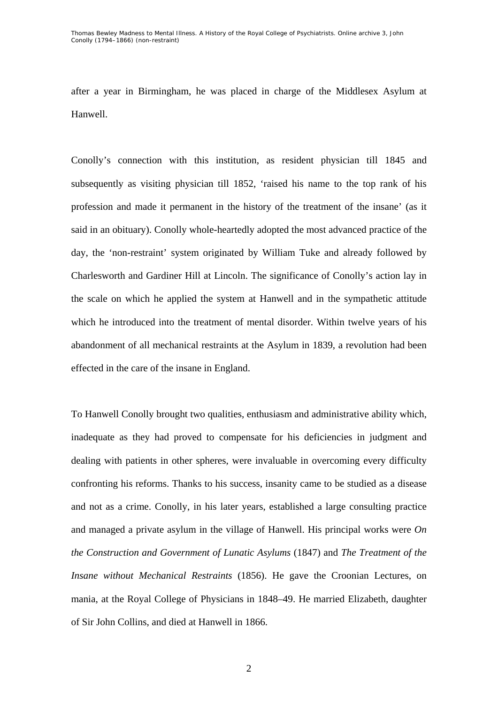Thomas Bewley *Madness to Mental Illness. A History of the Royal College of Psychiatrists*. Online archive 3, *John Conolly (1794–1866) (non-restraint)* 

after a year in Birmingham, he was placed in charge of the Middlesex Asylum at Hanwell.

Conolly's connection with this institution, as resident physician till 1845 and subsequently as visiting physician till 1852, 'raised his name to the top rank of his profession and made it permanent in the history of the treatment of the insane' (as it said in an obituary). Conolly whole-heartedly adopted the most advanced practice of the day, the 'non-restraint' system originated by William Tuke and already followed by Charlesworth and Gardiner Hill at Lincoln. The significance of Conolly's action lay in the scale on which he applied the system at Hanwell and in the sympathetic attitude which he introduced into the treatment of mental disorder. Within twelve years of his abandonment of all mechanical restraints at the Asylum in 1839, a revolution had been effected in the care of the insane in England.

To Hanwell Conolly brought two qualities, enthusiasm and administrative ability which, inadequate as they had proved to compensate for his deficiencies in judgment and dealing with patients in other spheres, were invaluable in overcoming every difficulty confronting his reforms. Thanks to his success, insanity came to be studied as a disease and not as a crime. Conolly, in his later years, established a large consulting practice and managed a private asylum in the village of Hanwell. His principal works were *On the Construction and Government of Lunatic Asylums* (1847) and *The Treatment of the Insane without Mechanical Restraints* (1856). He gave the Croonian Lectures, on mania, at the Royal College of Physicians in 1848–49. He married Elizabeth, daughter of Sir John Collins, and died at Hanwell in 1866.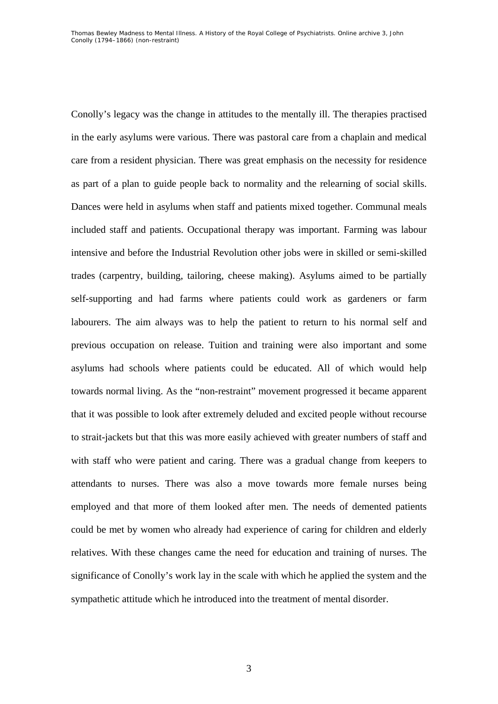Conolly's legacy was the change in attitudes to the mentally ill. The therapies practised in the early asylums were various. There was pastoral care from a chaplain and medical care from a resident physician. There was great emphasis on the necessity for residence as part of a plan to guide people back to normality and the relearning of social skills. Dances were held in asylums when staff and patients mixed together. Communal meals included staff and patients. Occupational therapy was important. Farming was labour intensive and before the Industrial Revolution other jobs were in skilled or semi-skilled trades (carpentry, building, tailoring, cheese making). Asylums aimed to be partially self-supporting and had farms where patients could work as gardeners or farm labourers. The aim always was to help the patient to return to his normal self and previous occupation on release. Tuition and training were also important and some asylums had schools where patients could be educated. All of which would help towards normal living. As the "non-restraint" movement progressed it became apparent that it was possible to look after extremely deluded and excited people without recourse to strait-jackets but that this was more easily achieved with greater numbers of staff and with staff who were patient and caring. There was a gradual change from keepers to attendants to nurses. There was also a move towards more female nurses being employed and that more of them looked after men. The needs of demented patients could be met by women who already had experience of caring for children and elderly relatives. With these changes came the need for education and training of nurses. The significance of Conolly's work lay in the scale with which he applied the system and the sympathetic attitude which he introduced into the treatment of mental disorder.